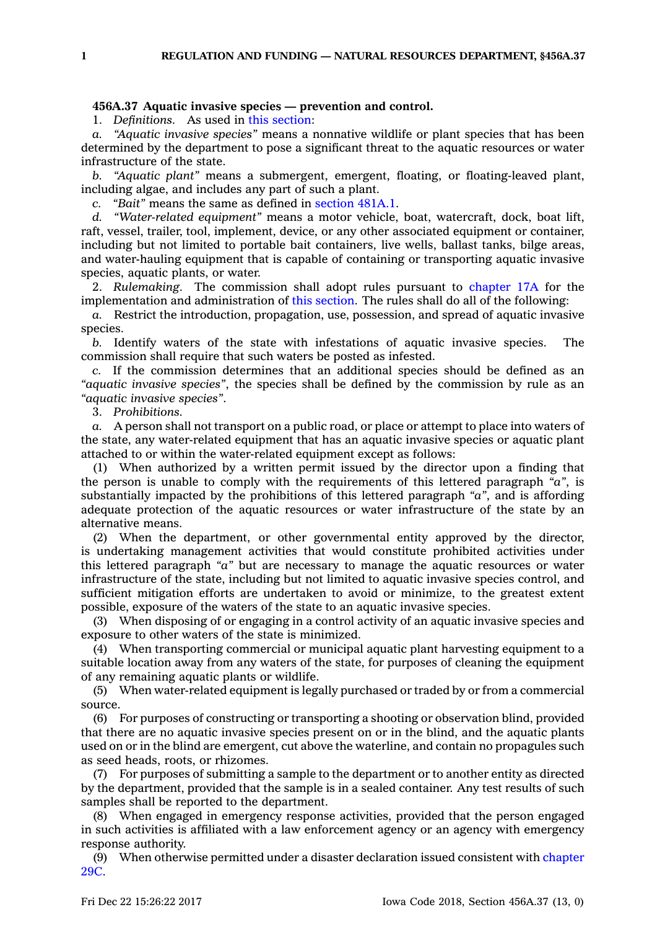## **456A.37 Aquatic invasive species — prevention and control.**

1. *Definitions.* As used in this [section](https://www.legis.iowa.gov/docs/code/456A.37.pdf):

*a. "Aquatic invasive species"* means <sup>a</sup> nonnative wildlife or plant species that has been determined by the department to pose <sup>a</sup> significant threat to the aquatic resources or water infrastructure of the state.

*b. "Aquatic plant"* means <sup>a</sup> submergent, emergent, floating, or floating-leaved plant, including algae, and includes any part of such <sup>a</sup> plant.

*c. "Bait"* means the same as defined in [section](https://www.legis.iowa.gov/docs/code/481A.1.pdf) 481A.1.

*d. "Water-related equipment"* means <sup>a</sup> motor vehicle, boat, watercraft, dock, boat lift, raft, vessel, trailer, tool, implement, device, or any other associated equipment or container, including but not limited to portable bait containers, live wells, ballast tanks, bilge areas, and water-hauling equipment that is capable of containing or transporting aquatic invasive species, aquatic plants, or water.

2. *Rulemaking.* The commission shall adopt rules pursuant to [chapter](https://www.legis.iowa.gov/docs/code//17A.pdf) 17A for the implementation and administration of this [section](https://www.legis.iowa.gov/docs/code/456A.37.pdf). The rules shall do all of the following:

*a.* Restrict the introduction, propagation, use, possession, and spread of aquatic invasive species.

*b.* Identify waters of the state with infestations of aquatic invasive species. The commission shall require that such waters be posted as infested.

*c.* If the commission determines that an additional species should be defined as an *"aquatic invasive species"*, the species shall be defined by the commission by rule as an *"aquatic invasive species"*.

3. *Prohibitions.*

*a.* A person shall not transport on <sup>a</sup> public road, or place or attempt to place into waters of the state, any water-related equipment that has an aquatic invasive species or aquatic plant attached to or within the water-related equipment except as follows:

(1) When authorized by <sup>a</sup> written permit issued by the director upon <sup>a</sup> finding that the person is unable to comply with the requirements of this lettered paragraph *"a"*, is substantially impacted by the prohibitions of this lettered paragraph *"a"*, and is affording adequate protection of the aquatic resources or water infrastructure of the state by an alternative means.

(2) When the department, or other governmental entity approved by the director, is undertaking management activities that would constitute prohibited activities under this lettered paragraph *"a"* but are necessary to manage the aquatic resources or water infrastructure of the state, including but not limited to aquatic invasive species control, and sufficient mitigation efforts are undertaken to avoid or minimize, to the greatest extent possible, exposure of the waters of the state to an aquatic invasive species.

(3) When disposing of or engaging in <sup>a</sup> control activity of an aquatic invasive species and exposure to other waters of the state is minimized.

(4) When transporting commercial or municipal aquatic plant harvesting equipment to <sup>a</sup> suitable location away from any waters of the state, for purposes of cleaning the equipment of any remaining aquatic plants or wildlife.

(5) When water-related equipment is legally purchased or traded by or from <sup>a</sup> commercial source.

(6) For purposes of constructing or transporting <sup>a</sup> shooting or observation blind, provided that there are no aquatic invasive species present on or in the blind, and the aquatic plants used on or in the blind are emergent, cut above the waterline, and contain no propagules such as seed heads, roots, or rhizomes.

(7) For purposes of submitting <sup>a</sup> sample to the department or to another entity as directed by the department, provided that the sample is in <sup>a</sup> sealed container. Any test results of such samples shall be reported to the department.

(8) When engaged in emergency response activities, provided that the person engaged in such activities is affiliated with <sup>a</sup> law enforcement agency or an agency with emergency response authority.

(9) When otherwise permitted under <sup>a</sup> disaster declaration issued consistent with [chapter](https://www.legis.iowa.gov/docs/code//29C.pdf) [29C](https://www.legis.iowa.gov/docs/code//29C.pdf).